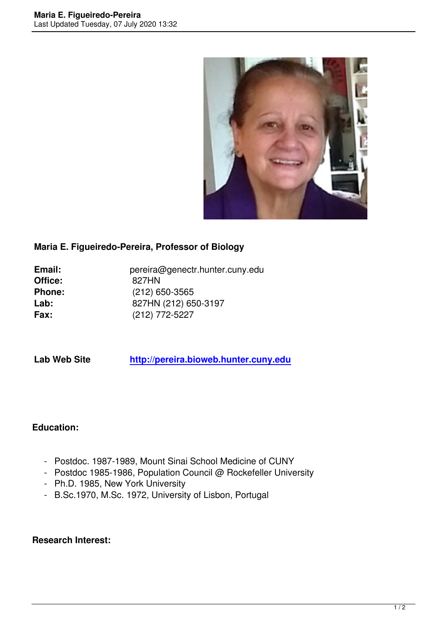

### **Maria E. Figueiredo-Pereira, Professor of Biology**

| Email:        | pereira@genectr.hunter.cuny.edu |
|---------------|---------------------------------|
| Office:       | 827HN                           |
| <b>Phone:</b> | $(212)$ 650-3565                |
| Lab:          | 827HN (212) 650-3197            |
| Fax:          | (212) 772-5227                  |

# **Lab Web Site http://pereira.bioweb.hunter.cuny.edu**

### **Education:**

- Postdoc. 1987-1989, Mount Sinai School Medicine of CUNY
- Postdoc 1985-1986, Population Council @ Rockefeller University
- Ph.D. 1985, New York University
- B.Sc.1970, M.Sc. 1972, University of Lisbon, Portugal

#### **Research Interest:**